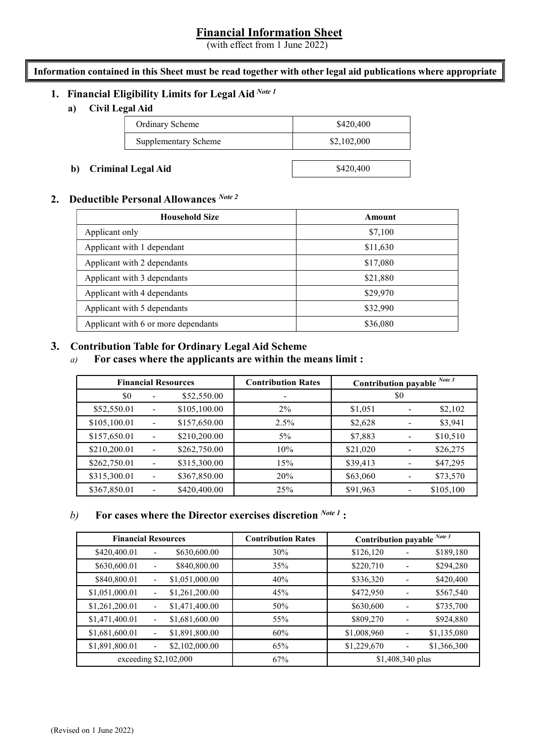# Financial Information Sheet

(with effect from 1 June 2022)

#### Information contained in this Sheet must be read together with other legal aid publications where appropriate

# 1. Financial Eligibility Limits for Legal Aid Note 1

a) Civil Legal Aid

| <b>Ordinary Scheme</b>      | \$420,400   |  |
|-----------------------------|-------------|--|
| <b>Supplementary Scheme</b> | \$2,102,000 |  |
|                             |             |  |

#### b) Criminal Legal Aid

# 2. Deductible Personal Allowances Note 2

| b) Criminal Legal Aid                                                                                                                                 |                                                                 |                          |                                                                                                                                                      |                           | \$420,400            |                             |                |          |  |  |  |
|-------------------------------------------------------------------------------------------------------------------------------------------------------|-----------------------------------------------------------------|--------------------------|------------------------------------------------------------------------------------------------------------------------------------------------------|---------------------------|----------------------|-----------------------------|----------------|----------|--|--|--|
|                                                                                                                                                       |                                                                 |                          | Deductible Personal Allowances <sup>Note 2</sup>                                                                                                     |                           |                      |                             |                |          |  |  |  |
|                                                                                                                                                       | <b>Household Size</b>                                           |                          |                                                                                                                                                      |                           |                      | Amount                      |                |          |  |  |  |
|                                                                                                                                                       | Applicant only                                                  |                          |                                                                                                                                                      |                           | \$7,100<br>\$11,630  |                             |                |          |  |  |  |
|                                                                                                                                                       | Applicant with 1 dependant                                      |                          |                                                                                                                                                      |                           |                      |                             |                |          |  |  |  |
|                                                                                                                                                       | Applicant with 2 dependants                                     |                          |                                                                                                                                                      |                           | \$17,080<br>\$21,880 |                             |                |          |  |  |  |
|                                                                                                                                                       | Applicant with 3 dependants                                     |                          |                                                                                                                                                      |                           |                      |                             |                |          |  |  |  |
|                                                                                                                                                       | Applicant with 4 dependants                                     |                          |                                                                                                                                                      |                           |                      | \$29,970                    |                |          |  |  |  |
|                                                                                                                                                       | Applicant with 5 dependants                                     |                          |                                                                                                                                                      |                           |                      | \$32,990                    |                |          |  |  |  |
|                                                                                                                                                       |                                                                 |                          | Applicant with 6 or more dependants                                                                                                                  |                           | \$36,080             |                             |                |          |  |  |  |
|                                                                                                                                                       |                                                                 |                          | <b>Contribution Table for Ordinary Legal Aid Scheme</b><br>For cases where the applicants are within the means limit :<br><b>Financial Resources</b> | <b>Contribution Rates</b> |                      | Contribution payable Note 3 |                |          |  |  |  |
| \$0<br>\$52,550.00<br>$\blacksquare$<br>\$52,550.01<br>\$105,100.00<br>2%<br>$\blacksquare$<br>\$105,100.01<br>\$157,650.00<br>2.5%<br>$\blacksquare$ |                                                                 |                          |                                                                                                                                                      |                           |                      | \$0                         |                |          |  |  |  |
|                                                                                                                                                       |                                                                 |                          |                                                                                                                                                      |                           | \$1,051              | $\overline{\phantom{0}}$    | \$2,102        |          |  |  |  |
|                                                                                                                                                       |                                                                 |                          |                                                                                                                                                      | \$2,628                   | $\blacksquare$       | \$3,941                     |                |          |  |  |  |
|                                                                                                                                                       | \$157,650.01<br>\$210,200.00<br>$5\%$<br>$\blacksquare$         |                          |                                                                                                                                                      |                           |                      | \$7,883                     |                | \$10,510 |  |  |  |
|                                                                                                                                                       | \$210,200.01                                                    | $\overline{\phantom{a}}$ | \$262,750.00                                                                                                                                         | 10%                       |                      | \$21,020                    |                | \$26,275 |  |  |  |
|                                                                                                                                                       | \$262,750.01                                                    | $\overline{\phantom{a}}$ | \$315,300.00                                                                                                                                         | 15%                       |                      | \$39,413                    | $\blacksquare$ | \$47,295 |  |  |  |
|                                                                                                                                                       | \$315,300.01<br>\$367,850.00<br>20%<br>$\overline{\phantom{a}}$ |                          | \$63,060<br>\$73,570<br>$\overline{\phantom{0}}$                                                                                                     |                           |                      |                             |                |          |  |  |  |

# 3. Contribution Table for Ordinary Legal Aid Scheme

|                                                                                                                        | <b>Household Size</b> |                           | Amount                      |                          |             |
|------------------------------------------------------------------------------------------------------------------------|-----------------------|---------------------------|-----------------------------|--------------------------|-------------|
| Applicant only                                                                                                         |                       |                           | \$7,100                     |                          |             |
| Applicant with 1 dependant                                                                                             | \$11,630              |                           |                             |                          |             |
| Applicant with 2 dependants                                                                                            |                       |                           | \$17,080                    |                          |             |
| Applicant with 3 dependants                                                                                            |                       |                           | \$21,880                    |                          |             |
| Applicant with 4 dependants                                                                                            |                       |                           | \$29,970                    |                          |             |
| Applicant with 5 dependants                                                                                            |                       |                           | \$32,990                    |                          |             |
| Applicant with 6 or more dependants                                                                                    |                       |                           | \$36,080                    |                          |             |
|                                                                                                                        |                       |                           |                             |                          |             |
| <b>Contribution Table for Ordinary Legal Aid Scheme</b><br>For cases where the applicants are within the means limit : |                       |                           |                             |                          |             |
|                                                                                                                        |                       |                           |                             |                          |             |
| <b>Financial Resources</b>                                                                                             |                       | <b>Contribution Rates</b> | Contribution payable Note 3 |                          |             |
| \$0                                                                                                                    | \$52,550.00           |                           |                             | \$0                      |             |
| \$52,550.01<br>$\blacksquare$                                                                                          | \$105,100.00          | 2%                        | \$1,051                     | $\overline{\phantom{a}}$ | \$2,102     |
| \$105,100.01<br>$\blacksquare$                                                                                         | \$157,650.00          | 2.5%                      | \$2,628                     | $\blacksquare$           | \$3,941     |
| \$157,650.01                                                                                                           | \$210,200.00          | $5\%$                     | \$7,883                     | $\blacksquare$           | \$10,510    |
| \$210,200.01                                                                                                           | \$262,750.00          | 10%                       | \$21,020                    | $\blacksquare$           | \$26,275    |
| \$262,750.01                                                                                                           | \$315,300.00          | 15%                       | \$39,413                    | $\overline{\phantom{a}}$ | \$47,295    |
| \$315,300.01<br>$\blacksquare$                                                                                         | \$367,850.00          | 20%                       | \$63,060                    | $\blacksquare$           | \$73,570    |
| \$367,850.01                                                                                                           | \$420,400.00          | 25%                       | \$91,963                    | $\blacksquare$           | \$105,100   |
| For cases where the Director exercises discretion $^{Note 1}$ :<br><b>Financial Resources</b>                          |                       | <b>Contribution Rates</b> | Contribution payable Note 3 |                          |             |
| \$420,400.01                                                                                                           | \$630,600.00          | 30%                       | \$126,120                   |                          | \$189,180   |
| \$630,600.01<br>$\blacksquare$                                                                                         | \$840,800.00          | 35%                       | \$220,710                   | $\blacksquare$           | \$294,280   |
| \$840,800.01                                                                                                           | \$1,051,000.00        | 40%                       | \$336,320                   | $\omega$                 | \$420,400   |
| \$1,051,000.01                                                                                                         | \$1,261,200.00        | 45%                       | \$472,950                   | $\omega$                 | \$567,540   |
| \$1,261,200.01                                                                                                         | \$1,471,400.00        | 50%                       | \$630,600                   |                          | \$735,700   |
| \$1,471,400.01                                                                                                         | \$1,681,600.00        | 55%                       | \$809,270                   |                          | \$924,880   |
|                                                                                                                        | \$1,891,800.00        | 60%                       | \$1,008,960                 | $\blacksquare$           | \$1,135,080 |
| \$1,681,600.01                                                                                                         |                       |                           |                             |                          |             |

# b) For cases where the Director exercises discretion  $^{Note I}$ :

|                            |                | <b>Financial Resources</b> | <b>Contribution Rates</b>                                       | Contribution payable Note 3 |                |             |  |
|----------------------------|----------------|----------------------------|-----------------------------------------------------------------|-----------------------------|----------------|-------------|--|
| \$0<br>\$52,550.00         |                |                            |                                                                 |                             | \$0            |             |  |
| \$52,550.01                | $\equiv$       | \$105,100.00               | 2%                                                              | \$1,051                     | $\blacksquare$ | \$2,102     |  |
| \$105,100.01               | $\sim$         | \$157,650.00               | 2.5%                                                            | \$2,628                     | $\blacksquare$ | \$3,941     |  |
| \$157,650.01               | $\blacksquare$ | \$210,200.00               | $5\%$                                                           | \$7,883                     | $\blacksquare$ | \$10,510    |  |
| \$210,200.01               | $\sim$         | \$262,750.00               | 10%                                                             | \$21,020                    | $\blacksquare$ | \$26,275    |  |
| \$262,750.01               | $\blacksquare$ | \$315,300.00               | 15%                                                             | \$39,413                    | $\blacksquare$ | \$47,295    |  |
| \$315,300.01               | $\sim$         | \$367,850.00               | 20%                                                             | \$63,060                    | $\blacksquare$ | \$73,570    |  |
| \$367,850.01               | $\sim$         | \$420,400.00               | 25%                                                             | \$91,963                    | $\blacksquare$ | \$105,100   |  |
|                            |                |                            | For cases where the Director exercises discretion $^{Note 1}$ : |                             |                |             |  |
|                            |                |                            |                                                                 |                             |                |             |  |
| <b>Financial Resources</b> |                |                            | <b>Contribution Rates</b>                                       | Contribution payable Note 3 |                |             |  |
| \$420,400.01               | $\overline{a}$ | \$630,600.00               | 30%                                                             | \$126,120                   | $\mathbf{r}$   | \$189,180   |  |
| \$630,600.01               | $\mathbf{r}$   | \$840,800.00               | 35%                                                             | \$220,710                   | $\mathbf{r}$   | \$294,280   |  |
| \$840,800.01               | $\blacksquare$ | \$1,051,000.00             | 40%                                                             | \$336,320                   | $\sim$         | \$420,400   |  |
| \$1,051,000.01             | $\blacksquare$ | \$1,261,200.00             | 45%                                                             | \$472,950                   | $\blacksquare$ | \$567,540   |  |
| \$1,261,200.01             | $\sim$         | \$1,471,400.00             | 50%                                                             | \$630,600                   | $\sim$         | \$735,700   |  |
| \$1,471,400.01             | $\blacksquare$ | \$1,681,600.00             | 55%                                                             | \$809,270                   | $\blacksquare$ | \$924,880   |  |
| \$1,681,600.01             | $\blacksquare$ | \$1,891,800.00             | 60%                                                             | \$1,008,960                 | $\blacksquare$ | \$1,135,080 |  |
| \$1,891,800.01             |                | \$2,102,000.00             | 65%                                                             | \$1,229,670                 | $\overline{a}$ | \$1,366,300 |  |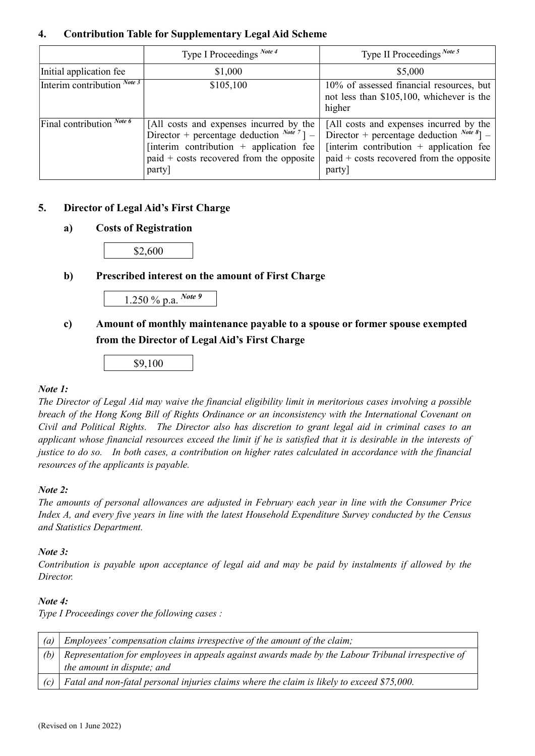# 4. Contribution Table for Supplementary Legal Aid Scheme

|                                      | Type I Proceedings Note 4                                                                                                                                                                         | Type II Proceedings Note 5                                                                                                                                                                        |
|--------------------------------------|---------------------------------------------------------------------------------------------------------------------------------------------------------------------------------------------------|---------------------------------------------------------------------------------------------------------------------------------------------------------------------------------------------------|
| Initial application fee              | \$1,000                                                                                                                                                                                           | \$5,000                                                                                                                                                                                           |
| Interim contribution $^{Note 3}$     | \$105,100                                                                                                                                                                                         | 10% of assessed financial resources, but<br>not less than \$105,100, whichever is the<br>higher                                                                                                   |
| Final contribution $\frac{Note\ 6}{$ | [All costs and expenses incurred by the<br>Director + percentage deduction $^{Note 7}$ ] –<br>[interim contribution $+$ application fee<br>$p$ paid + costs recovered from the opposite<br>party] | [All costs and expenses incurred by the<br>Director + percentage deduction $^{Note 8}$ ] –<br>[interim contribution $+$ application fee<br>$p$ paid + costs recovered from the opposite<br>party] |

# 5. Director of Legal Aid's First Charge

# a) Costs of Registration

\$2,600

# b) Prescribed interest on the amount of First Charge



# c) Amount of monthly maintenance payable to a spouse or former spouse exempted from the Director of Legal Aid's First Charge

\$9,100

#### Note 1:

The Director of Legal Aid may waive the financial eligibility limit in meritorious cases involving a possible breach of the Hong Kong Bill of Rights Ordinance or an inconsistency with the International Covenant on Civil and Political Rights. The Director also has discretion to grant legal aid in criminal cases to an applicant whose financial resources exceed the limit if he is satisfied that it is desirable in the interests of justice to do so. In both cases, a contribution on higher rates calculated in accordance with the financial resources of the applicants is payable.

#### $Note: 2.$

The amounts of personal allowances are adjusted in February each year in line with the Consumer Price Index A, and every five years in line with the latest Household Expenditure Survey conducted by the Census and Statistics Department.

#### Note 3:

Contribution is payable upon acceptance of legal aid and may be paid by instalments if allowed by the Director.

#### Note 4:

Type I Proceedings cover the following cases :

| $\left( a\right)$ | Employees' compensation claims irrespective of the amount of the claim;                            |  |  |  |  |
|-------------------|----------------------------------------------------------------------------------------------------|--|--|--|--|
| (b)               | Representation for employees in appeals against awards made by the Labour Tribunal irrespective of |  |  |  |  |
|                   | the amount in dispute; and                                                                         |  |  |  |  |
| $\left( c\right)$ | Fatal and non-fatal personal injuries claims where the claim is likely to exceed \$75,000.         |  |  |  |  |